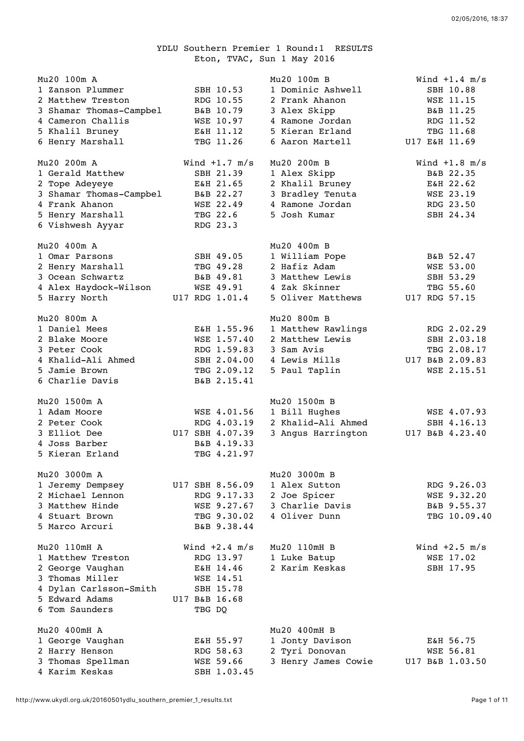## YDLU Southern Premier 1 Round:1 RESULTS Eton, TVAC, Sun 1 May 2016

| Mu20 100m A<br>1 Zanson Plummer<br>2 Matthew Treston<br>3 Shamar Thomas-Campbel<br>4 Cameron Challis<br>5 Khalil Bruney<br>6 Henry Marshall<br>Mu20 200m A<br>1 Gerald Matthew<br>2 Tope Adeyeye<br>3 Shamar Thomas-Campbel<br>4 Frank Ahanon<br>5 Henry Marshall<br>6 Vishwesh Ayyar | SBH 10.53<br>RDG 10.55<br>B&B 10.79<br>WSE 10.97<br>E&H 11.12<br>TBG 11.26<br>Wind $+1.7$ m/s<br>SBH 21.39<br>E&H 21.65<br>B&B 22.27<br>WSE 22.49<br>TBG 22.6<br>RDG 23.3 | Mu20 100m B<br>1 Dominic Ashwell<br>2 Frank Ahanon<br>3 Alex Skipp<br>4 Ramone Jordan<br>5 Kieran Erland<br>6 Aaron Martell<br>Mu20 200m B<br>1 Alex Skipp<br>2 Khalil Bruney<br>3 Bradley Tenuta<br>4 Ramone Jordan<br>5 Josh Kumar | Wind $+1.4$ m/s<br>SBH 10.88<br>WSE 11.15<br>B&B 11.25<br>RDG 11.52<br>TBG 11.68<br>U17 E&H 11.69<br>Wind $+1.8$ m/s<br>B&B 22.35<br>E&H 22.62<br>WSE 23.19<br>RDG 23.50<br>SBH 24.34 |
|---------------------------------------------------------------------------------------------------------------------------------------------------------------------------------------------------------------------------------------------------------------------------------------|---------------------------------------------------------------------------------------------------------------------------------------------------------------------------|--------------------------------------------------------------------------------------------------------------------------------------------------------------------------------------------------------------------------------------|---------------------------------------------------------------------------------------------------------------------------------------------------------------------------------------|
| Mu20 400m A<br>1 Omar Parsons<br>2 Henry Marshall<br>3 Ocean Schwartz<br>4 Alex Haydock-Wilson<br>5 Harry North                                                                                                                                                                       | SBH 49.05<br>TBG 49.28<br>B&B 49.81<br>WSE 49.91<br>U17 RDG 1.01.4                                                                                                        | Mu20 400m B<br>1 William Pope<br>2 Hafiz Adam<br>3 Matthew Lewis<br>4 Zak Skinner<br>5 Oliver Matthews                                                                                                                               | B&B 52.47<br>WSE 53.00<br>SBH 53.29<br>TBG 55.60<br>U17 RDG 57.15                                                                                                                     |
| Mu20 800m A<br>1 Daniel Mees<br>2 Blake Moore<br>3 Peter Cook<br>4 Khalid-Ali Ahmed<br>5 Jamie Brown<br>6 Charlie Davis                                                                                                                                                               | E&H 1.55.96<br>WSE 1.57.40<br>RDG 1.59.83<br>SBH 2.04.00<br>TBG 2.09.12<br>B&B 2.15.41                                                                                    | Mu20 800m B<br>1 Matthew Rawlings<br>2 Matthew Lewis<br>3 Sam Avis<br>4 Lewis Mills<br>5 Paul Taplin                                                                                                                                 | RDG 2.02.29<br>SBH 2.03.18<br>TBG 2.08.17<br>U17 B&B 2.09.83<br>WSE 2.15.51                                                                                                           |
| Mu20 1500m A<br>1 Adam Moore<br>2 Peter Cook<br>3 Elliot Dee<br>4 Joss Barber<br>5 Kieran Erland                                                                                                                                                                                      | WSE 4.01.56<br>RDG 4.03.19<br>U17 SBH 4.07.39<br>B&B 4.19.33<br>TBG 4.21.97                                                                                               | Mu20 1500m B<br>1 Bill Hughes<br>2 Khalid-Ali Ahmed<br>3 Angus Harrington                                                                                                                                                            | WSE 4.07.93<br>SBH 4.16.13<br>U17 B&B 4.23.40                                                                                                                                         |
| Mu20 3000m A<br>1 Jeremy Dempsey<br>2 Michael Lennon<br>3 Matthew Hinde<br>4 Stuart Brown<br>5 Marco Arcuri                                                                                                                                                                           | U17 SBH 8.56.09<br>RDG 9.17.33<br>WSE 9.27.67<br>TBG 9.30.02<br>B&B 9.38.44                                                                                               | Mu20 3000m B<br>1 Alex Sutton<br>2 Joe Spicer<br>3 Charlie Davis<br>4 Oliver Dunn                                                                                                                                                    | RDG 9.26.03<br>WSE 9.32.20<br>B&B 9.55.37<br>TBG 10.09.40                                                                                                                             |
| Mu20 110mH A<br>1 Matthew Treston<br>2 George Vaughan<br>3 Thomas Miller<br>4 Dylan Carlsson-Smith<br>5 Edward Adams<br>6 Tom Saunders                                                                                                                                                | Wind $+2.4$ m/s<br>RDG 13.97<br>E&H 14.46<br>WSE 14.51<br>SBH 15.78<br>U17 B&B 16.68<br>TBG DQ                                                                            | Mu20 110mH B<br>1 Luke Batup<br>2 Karim Keskas                                                                                                                                                                                       | Wind $+2.5$ m/s<br>WSE 17.02<br>SBH 17.95                                                                                                                                             |
| Mu20 400mH A<br>1 George Vaughan<br>2 Harry Henson<br>3 Thomas Spellman<br>4 Karim Keskas                                                                                                                                                                                             | E&H 55.97<br>RDG 58.63<br>WSE 59.66<br>SBH 1.03.45                                                                                                                        | Mu20 400mH B<br>1 Jonty Davison<br>2 Tyri Donovan<br>3 Henry James Cowie                                                                                                                                                             | E&H 56.75<br>WSE 56.81<br>U17 B&B 1.03.50                                                                                                                                             |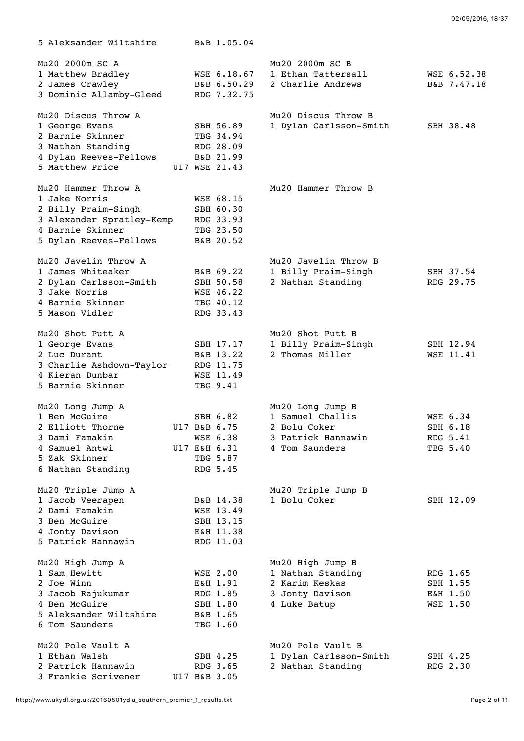| 5 Aleksander Wiltshire                    | B&B 1.05.04                |                        |             |
|-------------------------------------------|----------------------------|------------------------|-------------|
| Mu20 2000m SC A                           |                            | Mu20 2000m SC B        |             |
| 1 Matthew Bradley                         | WSE 6.18.67                | 1 Ethan Tattersall     | WSE 6.52.38 |
| 2 James Crawley                           | B&B 6.50.29                | 2 Charlie Andrews      | B&B 7.47.18 |
| 3 Dominic Allamby-Gleed                   | RDG 7.32.75                |                        |             |
| Mu20 Discus Throw A                       |                            | Mu20 Discus Throw B    |             |
| 1 George Evans                            | SBH 56.89                  | 1 Dylan Carlsson-Smith | SBH 38.48   |
| 2 Barnie Skinner                          | TBG 34.94                  |                        |             |
| 3 Nathan Standing                         | RDG 28.09                  |                        |             |
| 4 Dylan Reeves-Fellows<br>5 Matthew Price | B&B 21.99<br>U17 WSE 21.43 |                        |             |
|                                           |                            |                        |             |
| Mu20 Hammer Throw A                       |                            | Mu20 Hammer Throw B    |             |
| 1 Jake Norris<br>2 Billy Praim-Singh      | WSE 68.15<br>SBH 60.30     |                        |             |
| 3 Alexander Spratley-Kemp                 | RDG 33.93                  |                        |             |
| 4 Barnie Skinner                          | TBG 23.50                  |                        |             |
| 5 Dylan Reeves-Fellows                    | B&B 20.52                  |                        |             |
| Mu20 Javelin Throw A                      |                            | Mu20 Javelin Throw B   |             |
| 1 James Whiteaker                         | B&B 69.22                  | 1 Billy Praim-Singh    | SBH 37.54   |
| 2 Dylan Carlsson-Smith                    | SBH 50.58                  | 2 Nathan Standing      | RDG 29.75   |
| 3 Jake Norris                             | WSE 46.22                  |                        |             |
| 4 Barnie Skinner                          | TBG 40.12                  |                        |             |
| 5 Mason Vidler                            | RDG 33.43                  |                        |             |
| Mu20 Shot Putt A                          |                            | Mu20 Shot Putt B       |             |
| 1 George Evans                            | SBH 17.17                  | 1 Billy Praim-Singh    | SBH 12.94   |
| 2 Luc Durant<br>3 Charlie Ashdown-Taylor  | B&B 13.22<br>RDG 11.75     | 2 Thomas Miller        | WSE 11.41   |
| 4 Kieran Dunbar                           | WSE 11.49                  |                        |             |
| 5 Barnie Skinner                          | TBG 9.41                   |                        |             |
| Mu20 Long Jump A                          |                            | Mu20 Long Jump B       |             |
| 1 Ben McGuire                             | SBH 6.82                   | 1 Samuel Challis       | WSE 6.34    |
| 2 Elliott Thorne                          | U17 B&B 6.75               | 2 Bolu Coker           | SBH 6.18    |
| Dami Famakin                              | WSE 6.38                   | 3 Patrick Hannawin     | RDG 5.41    |
| 4 Samuel Antwi                            | U17 E&H 6.31               | 4 Tom Saunders         | TBG 5.40    |
| 5 Zak Skinner                             | TBG 5.87                   |                        |             |
| 6 Nathan Standing                         | RDG 5.45                   |                        |             |
| Mu20 Triple Jump A                        |                            | Mu20 Triple Jump B     |             |
| 1 Jacob Veerapen                          | B&B 14.38                  | 1 Bolu Coker           | SBH 12.09   |
| 2 Dami Famakin<br>3 Ben McGuire           | WSE 13.49<br>SBH 13.15     |                        |             |
| 4 Jonty Davison                           | E&H 11.38                  |                        |             |
| 5 Patrick Hannawin                        | RDG 11.03                  |                        |             |
| Mu20 High Jump A                          |                            | Mu20 High Jump B       |             |
| 1 Sam Hewitt                              | <b>WSE 2.00</b>            | 1 Nathan Standing      | RDG 1.65    |
| 2 Joe Winn                                | E&H 1.91                   | 2 Karim Keskas         | SBH 1.55    |
| 3 Jacob Rajukumar                         | RDG 1.85                   | 3 Jonty Davison        | E&H 1.50    |
| 4 Ben McGuire                             | SBH 1.80                   | 4 Luke Batup           | WSE 1.50    |
| 5 Aleksander Wiltshire                    | B&B 1.65                   |                        |             |
| 6 Tom Saunders                            | TBG 1.60                   |                        |             |
| Mu20 Pole Vault A                         |                            | Mu20 Pole Vault B      |             |
| 1 Ethan Walsh                             | SBH 4.25                   | 1 Dylan Carlsson-Smith | SBH 4.25    |
| 2 Patrick Hannawin                        | RDG 3.65                   | 2 Nathan Standing      | RDG 2.30    |
| 3 Frankie Scrivener                       | U17 B&B 3.05               |                        |             |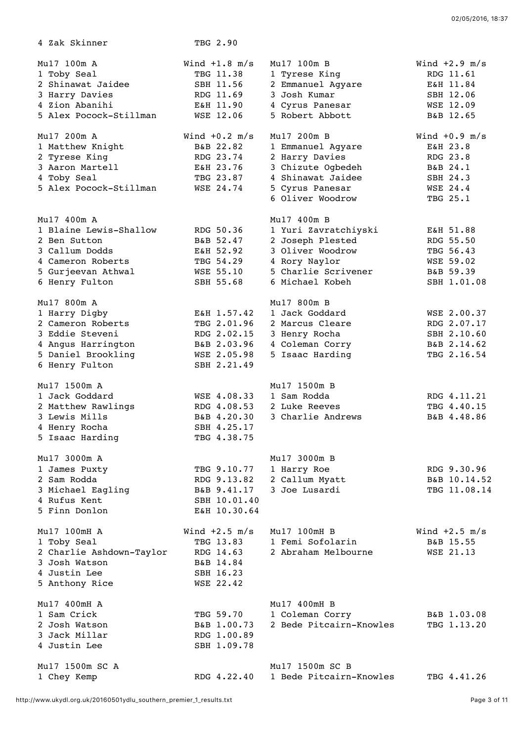4 Zak Skinner TBG 2.90 Mu17 100m A Wind +1.8 m/s Mu17 100m B Wind +2.9 m/s 1 Toby Seal TBG 11.38 1 Tyrese King RDG 11.61 2 Shinawat Jaidee SBH 11.56 2 Emmanuel Agyare E&H 11.84 3 Harry Davies RDG 11.69 3 Josh Kumar SBH 12.06 4 Zion Abanihi E&H 11.90 4 Cyrus Panesar WSE 12.09 5 Alex Pocock-Stillman WSE 12.06 5 Robert Abbott B&B 12.65 Mu17 200m A Wind +0.2 m/s Mu17 200m B Wind +0.9 m/s 1 Matthew Knight B&B 22.82 1 Emmanuel Agyare E&H 23.8 2 Tyrese King RDG 23.74 2 Harry Davies RDG 23.8 3 Aaron Martell E&H 23.76 3 Chizute Ogbedeh B&B 24.1 4 Toby Seal TBG 23.87 4 Shinawat Jaidee SBH 24.3 5 Alex Pocock-Stillman WSE 24.74 5 Cyrus Panesar WSE 24.4 6 Oliver Woodrow TBG 25.1 Mu17 400m A Mu17 400m B 1 Blaine Lewis-Shallow RDG 50.36 1 Yuri Zavratchiyski E&H 51.88 2 Ben Sutton B&B 52.47 2 Joseph Plested RDG 55.50 3 Callum Dodds E&H 52.92 3 Oliver Woodrow TBG 56.43 4 Cameron Roberts TBG 54.29 4 Rory Naylor WSE 59.02 5 Gurjeevan Athwal WSE 55.10 5 Charlie Scrivener B&B 59.39 6 Henry Fulton SBH 55.68 6 Michael Kobeh SBH 1.01.08 Mu17 800m A Mu17 800m B 1 Harry Digby E&H 1.57.42 1 Jack Goddard WSE 2.00.37 2 Cameron Roberts TBG 2.01.96 2 Marcus Cleare RDG 2.07.17 3 Eddie Steveni RDG 2.02.15 3 Henry Rocha SBH 2.10.60 4 Angus Harrington B&B 2.03.96 4 Coleman Corry B&B 2.14.62 5 Daniel Brookling WSE 2.05.98 5 Isaac Harding TBG 2.16.54 6 Henry Fulton SBH 2.21.49 Mu17 1500m A Mu17 1500m B 1 Jack Goddard WSE 4.08.33 1 Sam Rodda RDG 4.11.21 2 Matthew Rawlings RDG 4.08.53 2 Luke Reeves TBG 4.40.15 3 Lewis Mills B&B 4.20.30 3 Charlie Andrews B&B 4.48.86 4 Henry Rocha SBH 4.25.17 5 Isaac Harding TBG 4.38.75 Mu17 3000m A Mu17 3000m B 1 James Puxty TBG 9.10.77 1 Harry Roe RDG 9.30.96 2 Sam Rodda RDG 9.13.82 2 Callum Myatt B&B 10.14.52 3 Michael Eagling B&B 9.41.17 3 Joe Lusardi TBG 11.08.14 4 Rufus Kent SBH 10.01.40 5 Finn Donlon E&H 10.30.64 Mu17 100mH A Wind +2.5 m/s Mu17 100mH B Wind +2.5 m/s 1 Toby Seal TBG 13.83 1 Femi Sofolarin B&B 15.55 2 Charlie Ashdown-Taylor RDG 14.63 2 Abraham Melbourne WSE 21.13 3 Josh Watson B&B 14.84 4 Justin Lee SBH 16.23 5 Anthony Rice WSE 22.42 Mu17 400mH A Mu17 400mH B 1 Sam Crick TBG 59.70 1 Coleman Corry B&B 1.03.08

 2 Josh Watson B&B 1.00.73 2 Bede Pitcairn-Knowles TBG 1.13.20 3 Jack Millar RDG 1.00.89 4 Justin Lee SBH 1.09.78

 Mu17 1500m SC A Mu17 1500m SC B 1 Chey Kemp RDG 4.22.40 1 Bede Pitcairn-Knowles TBG 4.41.26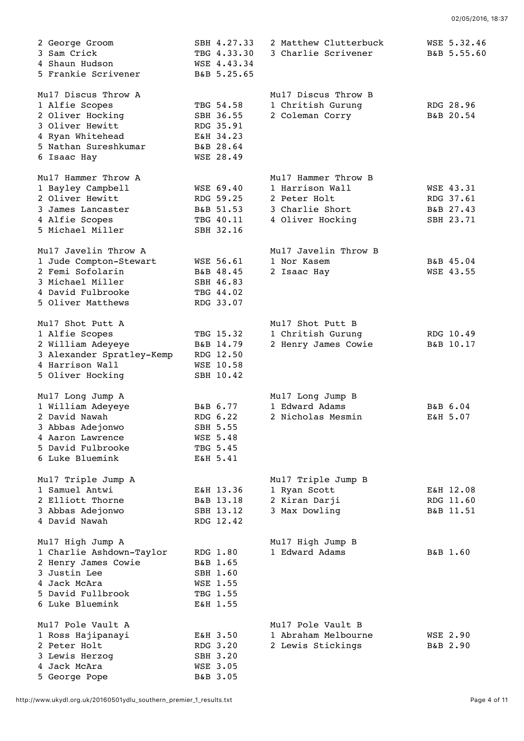| 2 George Groom<br>3 Sam Crick<br>4 Shaun Hudson<br>5 Frankie Scrivener                                                                      | SBH 4.27.33<br>TBG 4.33.30<br>WSE 4.43.34<br>B&B 5.25.65                    | 2 Matthew Clutterbuck<br>3 Charlie Scrivener                                                  | WSE 5.32.46<br>B&B 5.55.60                       |
|---------------------------------------------------------------------------------------------------------------------------------------------|-----------------------------------------------------------------------------|-----------------------------------------------------------------------------------------------|--------------------------------------------------|
| Mul7 Discus Throw A<br>1 Alfie Scopes<br>2 Oliver Hocking<br>3 Oliver Hewitt<br>4 Ryan Whitehead<br>5 Nathan Sureshkumar<br>6 Isaac Hay     | TBG 54.58<br>SBH 36.55<br>RDG 35.91<br>E&H 34.23<br>B&B 28.64<br>WSE 28.49  | Mul7 Discus Throw B<br>1 Chritish Gurung<br>2 Coleman Corry                                   | RDG 28.96<br>B&B 20.54                           |
| Mu17 Hammer Throw A<br>1 Bayley Campbell<br>2 Oliver Hewitt<br>3 James Lancaster<br>4 Alfie Scopes<br>5 Michael Miller                      | WSE 69.40<br>RDG 59.25<br>B&B 51.53<br>TBG 40.11<br>SBH 32.16               | Mu17 Hammer Throw B<br>1 Harrison Wall<br>2 Peter Holt<br>3 Charlie Short<br>4 Oliver Hocking | WSE 43.31<br>RDG 37.61<br>B&B 27.43<br>SBH 23.71 |
| Mul7 Javelin Throw A<br>1 Jude Compton-Stewart<br>2 Femi Sofolarin<br>3 Michael Miller<br>4 David Fulbrooke<br>5 Oliver Matthews            | WSE 56.61<br>B&B 48.45<br>SBH 46.83<br>TBG 44.02<br>RDG 33.07               | Mul7 Javelin Throw B<br>1 Nor Kasem<br>2 Isaac Hay                                            | B&B 45.04<br>WSE 43.55                           |
| Mu17 Shot Putt A<br>1 Alfie Scopes<br>2 William Adeyeye<br>3 Alexander Spratley-Kemp<br>4 Harrison Wall<br>5 Oliver Hocking                 | TBG 15.32<br>B&B 14.79<br>RDG 12.50<br>WSE 10.58<br>SBH 10.42               | Mu17 Shot Putt B<br>1 Chritish Gurung<br>2 Henry James Cowie                                  | RDG 10.49<br>B&B 10.17                           |
| Mul7 Long Jump A<br>1 William Adeyeye<br>2 David Nawah<br>3 Abbas Adejonwo<br>4 Aaron Lawrence<br>5 David Fulbrooke<br>6 Luke Bluemink      | B&B 6.77<br>RDG 6.22<br>SBH 5.55<br><b>WSE 5.48</b><br>TBG 5.45<br>E&H 5.41 | Mul7 Long Jump B<br>1 Edward Adams<br>2 Nicholas Mesmin                                       | B&B 6.04<br>E&H 5.07                             |
| Mu17 Triple Jump A<br>1 Samuel Antwi<br>2 Elliott Thorne<br>3 Abbas Adejonwo<br>4 David Nawah                                               | E&H 13.36<br>B&B 13.18<br>SBH 13.12<br>RDG 12.42                            | Mu17 Triple Jump B<br>1 Ryan Scott<br>2 Kiran Darji<br>3 Max Dowling                          | E&H 12.08<br>RDG 11.60<br>B&B 11.51              |
| Mu17 High Jump A<br>1 Charlie Ashdown-Taylor<br>2 Henry James Cowie<br>3 Justin Lee<br>4 Jack McAra<br>5 David Fullbrook<br>6 Luke Bluemink | RDG 1.80<br>B&B 1.65<br>SBH 1.60<br>WSE 1.55<br>TBG 1.55<br>E&H 1.55        | Mu17 High Jump B<br>1 Edward Adams                                                            | B&B 1.60                                         |
| Mul7 Pole Vault A<br>1 Ross Hajipanayi<br>2 Peter Holt<br>3 Lewis Herzog<br>4 Jack McAra<br>5 George Pope                                   | E&H 3.50<br>RDG 3.20<br>SBH 3.20<br>WSE 3.05<br>B&B 3.05                    | Mul7 Pole Vault B<br>1 Abraham Melbourne<br>2 Lewis Stickings                                 | <b>WSE 2.90</b><br>B&B 2.90                      |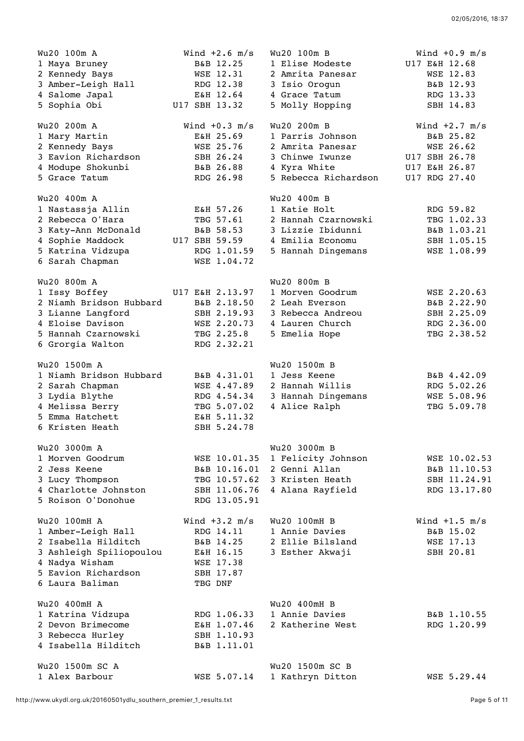| Wu20 100m A             | Wind $+2.6$ m/s | Wu20 100m B          | Wind $+0.9$ m/s |
|-------------------------|-----------------|----------------------|-----------------|
| 1 Maya Bruney           | B&B 12.25       | 1 Elise Modeste      | U17 E&H 12.68   |
| 2 Kennedy Bays          | WSE 12.31       | 2 Amrita Panesar     | WSE 12.83       |
| 3 Amber-Leigh Hall      | RDG 12.38       | 3 Isio Orogun        | B&B 12.93       |
| 4 Salome Japal          | E&H 12.64       | 4 Grace Tatum        | RDG 13.33       |
| 5 Sophia Obi            | U17 SBH 13.32   | 5 Molly Hopping      | SBH 14.83       |
|                         |                 |                      |                 |
| Wu20 200m A             | Wind $+0.3$ m/s | Wu20 200m B          | Wind $+2.7$ m/s |
| 1 Mary Martin           | E&H 25.69       | 1 Parris Johnson     | B&B 25.82       |
| 2 Kennedy Bays          | WSE 25.76       | 2 Amrita Panesar     | WSE 26.62       |
| 3 Eavion Richardson     | SBH 26.24       | 3 Chinwe Iwunze      | U17 SBH 26.78   |
| 4 Modupe Shokunbi       | B&B 26.88       | 4 Kyra White         | U17 E&H 26.87   |
| 5 Grace Tatum           | RDG 26.98       | 5 Rebecca Richardson | U17 RDG 27.40   |
| Wu20 400m A             |                 | Wu20 400m B          |                 |
| 1 Nastassja Allin       | E&H 57.26       | 1 Katie Holt         | RDG 59.82       |
| 2 Rebecca O'Hara        | TBG 57.61       | 2 Hannah Czarnowski  | TBG 1.02.33     |
| 3 Katy-Ann McDonald     | B&B 58.53       | 3 Lizzie Ibidunni    | B&B 1.03.21     |
| 4 Sophie Maddock        | U17 SBH 59.59   | 4 Emilia Economu     | SBH 1.05.15     |
| 5 Katrina Vidzupa       | RDG 1.01.59     | 5 Hannah Dingemans   | WSE 1.08.99     |
| 6 Sarah Chapman         | WSE 1.04.72     |                      |                 |
|                         |                 |                      |                 |
| Wu20 800m A             |                 | Wu20 800m B          |                 |
| 1 Issy Boffey           | U17 E&H 2.13.97 | 1 Morven Goodrum     | WSE 2.20.63     |
| 2 Niamh Bridson Hubbard | B&B 2.18.50     | 2 Leah Everson       | B&B 2.22.90     |
| 3 Lianne Langford       | SBH 2.19.93     | 3 Rebecca Andreou    | SBH 2.25.09     |
| 4 Eloise Davison        | WSE 2.20.73     | 4 Lauren Church      | RDG 2.36.00     |
| 5 Hannah Czarnowski     | TBG 2.25.8      | 5 Emelia Hope        | TBG 2.38.52     |
| 6 Grorgia Walton        | RDG 2.32.21     |                      |                 |
| Wu20 1500m A            |                 | Wu20 1500m B         |                 |
| 1 Niamh Bridson Hubbard | B&B 4.31.01     | 1 Jess Keene         | B&B 4.42.09     |
| 2 Sarah Chapman         | WSE 4.47.89     | 2 Hannah Willis      | RDG 5.02.26     |
| 3 Lydia Blythe          | RDG 4.54.34     | 3 Hannah Dingemans   | WSE 5.08.96     |
| 4 Melissa Berry         | TBG 5.07.02     | 4 Alice Ralph        | TBG 5.09.78     |
| 5 Emma Hatchett         | E&H 5.11.32     |                      |                 |
| 6 Kristen Heath         | SBH 5.24.78     |                      |                 |
|                         |                 |                      |                 |
| Wu20 3000m A            |                 | Wu20 3000m B         |                 |
| 1 Morven Goodrum        | WSE 10.01.35    | 1 Felicity Johnson   | WSE 10.02.53    |
| 2 Jess Keene            | B&B 10.16.01    | 2 Genni Allan        | B&B 11.10.53    |
| 3 Lucy Thompson         | TBG 10.57.62    | 3 Kristen Heath      | SBH 11.24.91    |
| 4 Charlotte Johnston    | SBH 11.06.76    | 4 Alana Rayfield     | RDG 13.17.80    |
| 5 Roison O'Donohue      | RDG 13.05.91    |                      |                 |
| Wu20 100mH A            | Wind $+3.2$ m/s | Wu20 100mH B         | Wind $+1.5$ m/s |
| 1 Amber-Leigh Hall      | RDG 14.11       | 1 Annie Davies       | B&B 15.02       |
| 2 Isabella Hilditch     | B&B 14.25       | 2 Ellie Bilsland     | WSE 17.13       |
| 3 Ashleigh Spiliopoulou | E&H 16.15       | 3 Esther Akwaji      | SBH 20.81       |
| 4 Nadya Wisham          | WSE 17.38       |                      |                 |
| 5 Eavion Richardson     | SBH 17.87       |                      |                 |
| 6 Laura Baliman         | TBG DNF         |                      |                 |
|                         |                 |                      |                 |
| Wu20 400mH A            |                 | Wu20 400mH B         |                 |
| 1 Katrina Vidzupa       | RDG 1.06.33     | 1 Annie Davies       | B&B 1.10.55     |
| 2 Devon Brimecome       | E&H 1.07.46     | 2 Katherine West     | RDG 1.20.99     |
| 3 Rebecca Hurley        | SBH 1.10.93     |                      |                 |
| 4 Isabella Hilditch     | B&B 1.11.01     |                      |                 |
| Wu20 1500m SC A         |                 | Wu20 1500m SC B      |                 |
| 1 Alex Barbour          | WSE 5.07.14     | 1 Kathryn Ditton     | WSE 5.29.44     |
|                         |                 |                      |                 |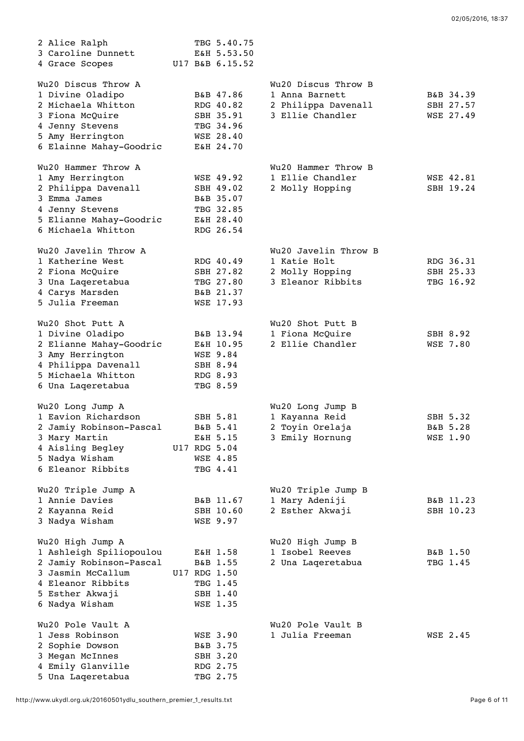| 2 Alice Ralph<br>3 Caroline Dunnett<br>4 Grace Scopes                                                                                                 |  | TBG 5.40.75<br>E&H 5.53.50<br>U17 B&B 6.15.52                                 |                                                                                  |                                     |
|-------------------------------------------------------------------------------------------------------------------------------------------------------|--|-------------------------------------------------------------------------------|----------------------------------------------------------------------------------|-------------------------------------|
| Wu20 Discus Throw A<br>1 Divine Oladipo<br>2 Michaela Whitton<br>3 Fiona McQuire<br>4 Jenny Stevens<br>5 Amy Herrington<br>6 Elainne Mahay-Goodric    |  | B&B 47.86<br>RDG 40.82<br>SBH 35.91<br>TBG 34.96<br>WSE 28.40<br>E&H 24.70    | Wu20 Discus Throw B<br>1 Anna Barnett<br>2 Philippa Davenall<br>3 Ellie Chandler | B&B 34.39<br>SBH 27.57<br>WSE 27.49 |
| Wu20 Hammer Throw A<br>1 Amy Herrington<br>2 Philippa Davenall<br>3 Emma James<br>4 Jenny Stevens<br>5 Elianne Mahay-Goodric<br>6 Michaela Whitton    |  | WSE 49.92<br>SBH 49.02<br>B&B 35.07<br>TBG 32.85<br>E&H 28.40<br>RDG 26.54    | Wu20 Hammer Throw B<br>1 Ellie Chandler<br>2 Molly Hopping                       | WSE 42.81<br>SBH 19.24              |
| Wu20 Javelin Throw A<br>1 Katherine West<br>2 Fiona McQuire<br>3 Una Lageretabua<br>4 Carys Marsden<br>5 Julia Freeman                                |  | RDG 40.49<br>SBH 27.82<br>TBG 27.80<br>B&B 21.37<br>WSE 17.93                 | Wu20 Javelin Throw B<br>1 Katie Holt<br>2 Molly Hopping<br>3 Eleanor Ribbits     | RDG 36.31<br>SBH 25.33<br>TBG 16.92 |
| Wu20 Shot Putt A<br>1 Divine Oladipo<br>2 Elianne Mahay-Goodric<br>3 Amy Herrington<br>4 Philippa Davenall<br>5 Michaela Whitton<br>6 Una Laqeretabua |  | B&B 13.94<br>E&H 10.95<br><b>WSE 9.84</b><br>SBH 8.94<br>RDG 8.93<br>TBG 8.59 | Wu20 Shot Putt B<br>1 Fiona McQuire<br>2 Ellie Chandler                          | SBH 8.92<br><b>WSE 7.80</b>         |
| Wu20 Long Jump A<br>1 Eavion Richardson<br>2 Jamiy Robinson-Pascal<br>3 Mary Martin<br>4 Aisling Begley<br>5 Nadya Wisham<br>6 Eleanor Ribbits        |  | SBH 5.81<br>B&B 5.41<br>E&H 5.15<br>U17 RDG 5.04<br>WSE 4.85<br>TBG 4.41      | Wu20 Long Jump B<br>1 Kayanna Reid<br>2 Toyin Orelaja<br>3 Emily Hornung         | SBH 5.32<br>B&B 5.28<br>WSE 1.90    |
| Wu20 Triple Jump A<br>1 Annie Davies<br>2 Kayanna Reid<br>3 Nadya Wisham                                                                              |  | B&B 11.67<br>SBH 10.60<br>WSE 9.97                                            | Wu20 Triple Jump B<br>1 Mary Adeniji<br>2 Esther Akwaji                          | B&B 11.23<br>SBH 10.23              |
| Wu20 High Jump A<br>1 Ashleigh Spiliopoulou<br>2 Jamiy Robinson-Pascal<br>3 Jasmin McCallum<br>4 Eleanor Ribbits<br>5 Esther Akwaji<br>6 Nadya Wisham |  | E&H 1.58<br>B&B 1.55<br>U17 RDG 1.50<br>TBG 1.45<br>SBH 1.40<br>WSE 1.35      | Wu20 High Jump B<br>1 Isobel Reeves<br>2 Una Laqeretabua                         | B&B 1.50<br>TBG 1.45                |
| Wu20 Pole Vault A<br>1 Jess Robinson<br>2 Sophie Dowson<br>3 Megan McInnes<br>4 Emily Glanville<br>5 Una Laqeretabua                                  |  | <b>WSE 3.90</b><br>B&B 3.75<br>SBH 3.20<br>RDG 2.75<br>TBG 2.75               | Wu20 Pole Vault B<br>1 Julia Freeman                                             | WSE 2.45                            |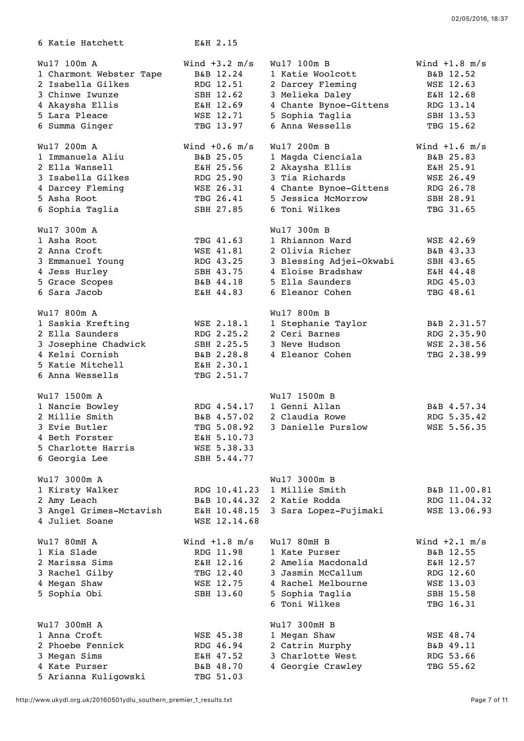| 6 Katie Hatchett        | E&H 2.15        |                         |                 |
|-------------------------|-----------------|-------------------------|-----------------|
| Wu17 100m A             | Wind $+3.2$ m/s | Wu17 100m B             | Wind $+1.8$ m/s |
| 1 Charmont Webster Tape | B&B 12.24       | 1 Katie Woolcott        | B&B 12.52       |
| 2 Isabella Gilkes       | RDG 12.51       | 2 Darcey Fleming        | WSE 12.63       |
| 3 Chinwe Iwunze         | SBH 12.62       | 3 Melieka Daley         | E&H 12.68       |
| 4 Akaysha Ellis         | E&H 12.69       | 4 Chante Bynoe-Gittens  | RDG 13.14       |
| 5 Lara Pleace           | WSE 12.71       | 5 Sophia Taglia         | SBH 13.53       |
| 6 Summa Ginger          | TBG 13.97       | 6 Anna Wessells         | TBG 15.62       |
| Wu17 200m A             | Wind $+0.6$ m/s | Wu17 200m B             | Wind $+1.6$ m/s |
| 1 Immanuela Aliu        | B&B 25.05       | 1 Magda Cienciala       | B&B 25.83       |
| 2 Ella Wansell          | E&H 25.56       | 2 Akaysha Ellis         | E&H 25.91       |
| 3 Isabella Gilkes       | RDG 25.90       | 3 Tia Richards          | WSE 26.49       |
| 4 Darcey Fleming        | WSE 26.31       | 4 Chante Bynoe-Gittens  | RDG 26.78       |
| 5 Asha Root             | TBG 26.41       | 5 Jessica McMorrow      | SBH 28.91       |
| 6 Sophia Taglia         | SBH 27.85       | 6 Toni Wilkes           | TBG 31.65       |
| Wu17 300m A             |                 | Wu17 300m B             |                 |
| 1 Asha Root             | TBG 41.63       | 1 Rhiannon Ward         | WSE 42.69       |
| 2 Anna Croft            | WSE 41.81       | 2 Olivia Richer         | B&B 43.33       |
| 3 Emmanuel Young        | RDG 43.25       | 3 Blessing Adjei-Okwabi | SBH 43.65       |
| 4 Jess Hurley           | SBH 43.75       | 4 Eloise Bradshaw       | E&H 44.48       |
| 5 Grace Scopes          | B&B 44.18       | 5 Ella Saunders         | RDG 45.03       |
| 6 Sara Jacob            | E&H 44.83       | 6 Eleanor Cohen         | TBG 48.61       |
| Wu17 800m A             |                 | Wu17 800m B             |                 |
| 1 Saskia Krefting       | WSE 2.18.1      | 1 Stephanie Taylor      | B&B 2.31.57     |
| 2 Ella Saunders         | RDG 2.25.2      | 2 Ceri Barnes           | RDG 2.35.90     |
| 3 Josephine Chadwick    | SBH 2.25.5      | 3 Neve Hudson           | WSE 2.38.56     |
| 4 Kelsi Cornish         | B&B 2.28.8      | 4 Eleanor Cohen         | TBG 2.38.99     |
| 5 Katie Mitchell        | E&H 2.30.1      |                         |                 |
| 6 Anna Wessells         | TBG 2.51.7      |                         |                 |
| Wu17 1500m A            |                 | Wu17 1500m B            |                 |
| 1 Nancie Bowley         | RDG 4.54.17     | 1 Genni Allan           | B&B 4.57.34     |
| 2 Millie Smith          | B&B 4.57.02     | 2 Claudia Rowe          | RDG 5.35.42     |
| 3 Evie Butler           | TBG 5.08.92     | 3 Danielle Purslow      | WSE 5.56.35     |
| 4 Beth Forster          | E&H 5.10.73     |                         |                 |
| 5 Charlotte Harris      | WSE 5.38.33     |                         |                 |
| 6 Georgia Lee           | SBH 5.44.77     |                         |                 |
| Wu17 3000m A            |                 | Wu17 3000m B            |                 |
| 1 Kirsty Walker         | RDG 10.41.23    | 1 Millie Smith          | B&B 11.00.81    |
| 2 Amy Leach             | B&B 10.44.32    | 2 Katie Rodda           | RDG 11.04.32    |
| 3 Angel Grimes-Mctavish | E&H 10.48.15    | 3 Sara Lopez-Fujimaki   | WSE 13.06.93    |
| 4 Juliet Soane          | WSE 12.14.68    |                         |                 |
| Wu17 80mH A             | Wind $+1.8$ m/s | Wu17 80mH B             | Wind $+2.1$ m/s |
| 1 Kia Slade             | RDG 11.98       | 1 Kate Purser           | B&B 12.55       |
| 2 Marissa Sims          | E&H 12.16       | 2 Amelia Macdonald      | E&H 12.57       |
| 3 Rachel Gilby          | TBG 12.40       | 3 Jasmin McCallum       | RDG 12.60       |
| 4 Megan Shaw            | WSE 12.75       | 4 Rachel Melbourne      | WSE 13.03       |
| 5 Sophia Obi            | SBH 13.60       | 5 Sophia Taglia         | SBH 15.58       |
|                         |                 | 6 Toni Wilkes           | TBG 16.31       |
| Wu17 300mH A            |                 | Wu17 300mH B            |                 |
| 1 Anna Croft            | WSE 45.38       | 1 Megan Shaw            | WSE 48.74       |
| 2 Phoebe Fennick        | RDG 46.94       | 2 Catrin Murphy         | B&B 49.11       |
| 3 Megan Sims            | E&H 47.52       | 3 Charlotte West        | RDG 53.66       |
| 4 Kate Purser           | B&B 48.70       | 4 Georgie Crawley       | TBG 55.62       |
| 5 Arianna Kuligowski    | TBG 51.03       |                         |                 |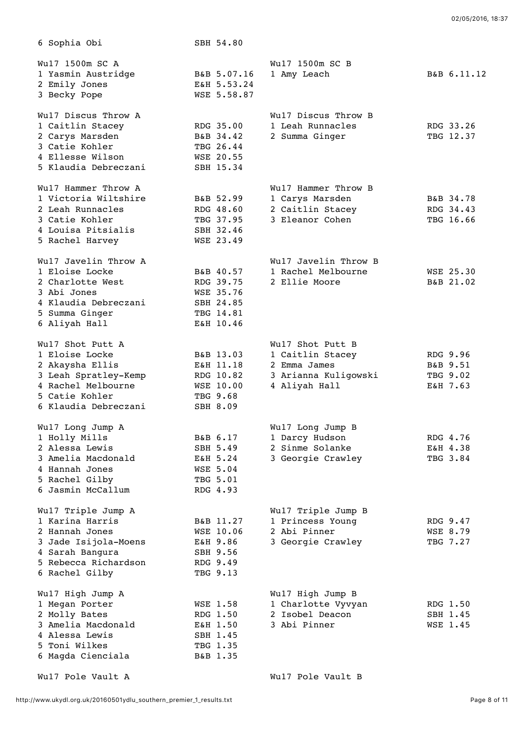| 6 Sophia Obi         | SBH 54.80        |                      |             |
|----------------------|------------------|----------------------|-------------|
| Wu17 1500m SC A      |                  | Wu17 1500m SC B      |             |
| 1 Yasmin Austridge   | B&B 5.07.16      | 1 Amy Leach          | B&B 6.11.12 |
| 2 Emily Jones        | E&H 5.53.24      |                      |             |
| 3 Becky Pope         | WSE 5.58.87      |                      |             |
| Wul7 Discus Throw A  |                  | Wul7 Discus Throw B  |             |
| 1 Caitlin Stacey     | RDG 35.00        | 1 Leah Runnacles     | RDG 33.26   |
| 2 Carys Marsden      | B&B 34.42        | 2 Summa Ginger       | TBG 12.37   |
| 3 Catie Kohler       | TBG 26.44        |                      |             |
| 4 Ellesse Wilson     | WSE 20.55        |                      |             |
| 5 Klaudia Debreczani | SBH 15.34        |                      |             |
| Wul7 Hammer Throw A  |                  | Wul7 Hammer Throw B  |             |
| 1 Victoria Wiltshire | B&B 52.99        | 1 Carys Marsden      | B&B 34.78   |
| 2 Leah Runnacles     | RDG 48.60        | 2 Caitlin Stacey     | RDG 34.43   |
| 3 Catie Kohler       | TBG 37.95        | 3 Eleanor Cohen      | TBG 16.66   |
| 4 Louisa Pitsialis   | SBH 32.46        |                      |             |
| 5 Rachel Harvey      | WSE 23.49        |                      |             |
| Wul7 Javelin Throw A |                  | Wul7 Javelin Throw B |             |
| 1 Eloise Locke       | B&B 40.57        | 1 Rachel Melbourne   | WSE 25.30   |
| 2 Charlotte West     | RDG 39.75        | 2 Ellie Moore        | B&B 21.02   |
| 3 Abi Jones          | WSE 35.76        |                      |             |
| 4 Klaudia Debreczani | SBH 24.85        |                      |             |
| 5 Summa Ginger       | TBG 14.81        |                      |             |
| 6 Aliyah Hall        | E&H 10.46        |                      |             |
| Wul7 Shot Putt A     |                  | Wul7 Shot Putt B     |             |
| 1 Eloise Locke       | B&B 13.03        | 1 Caitlin Stacey     | RDG 9.96    |
| 2 Akaysha Ellis      | E&H 11.18        | 2 Emma James         | B&B 9.51    |
| 3 Leah Spratley-Kemp | RDG 10.82        | 3 Arianna Kuligowski | TBG 9.02    |
| 4 Rachel Melbourne   | <b>WSE 10.00</b> | 4 Aliyah Hall        | E&H 7.63    |
| 5 Catie Kohler       | TBG 9.68         |                      |             |
| 6 Klaudia Debreczani | SBH 8.09         |                      |             |
| Wul7 Long Jump A     |                  | Wul7 Long Jump B     |             |
| 1 Holly Mills        | B&B 6.17         | 1 Darcy Hudson       | RDG 4.76    |
| 2 Alessa Lewis       | SBH 5.49         | 2 Sinme Solanke      | E&H 4.38    |
| 3 Amelia Macdonald   | E&H 5.24         | 3 Georgie Crawley    | TBG 3.84    |
| 4 Hannah Jones       | <b>WSE 5.04</b>  |                      |             |
| 5 Rachel Gilby       | TBG 5.01         |                      |             |
| 6 Jasmin McCallum    | RDG 4.93         |                      |             |
| Wul7 Triple Jump A   |                  | Wul7 Triple Jump B   |             |
| 1 Karina Harris      | B&B 11.27        | 1 Princess Young     | RDG 9.47    |
| 2 Hannah Jones       | WSE 10.06        | 2 Abi Pinner         | WSE 8.79    |
| 3 Jade Isijola-Moens | E&H 9.86         | 3 Georgie Crawley    | TBG 7.27    |
| 4 Sarah Bangura      | SBH 9.56         |                      |             |
| 5 Rebecca Richardson | RDG 9.49         |                      |             |
| 6 Rachel Gilby       | TBG 9.13         |                      |             |
| Wul7 High Jump A     |                  | Wul7 High Jump B     |             |
| 1 Megan Porter       | WSE 1.58         | 1 Charlotte Vyvyan   | RDG 1.50    |
| 2 Molly Bates        | RDG 1.50         | 2 Isobel Deacon      | SBH 1.45    |
| 3 Amelia Macdonald   | E&H 1.50         | 3 Abi Pinner         | WSE 1.45    |
| 4 Alessa Lewis       | SBH 1.45         |                      |             |
| 5 Toni Wilkes        | TBG 1.35         |                      |             |
| 6 Magda Cienciala    | B&B 1.35         |                      |             |
| Wul7 Pole Vault A    |                  | Wul7 Pole Vault B    |             |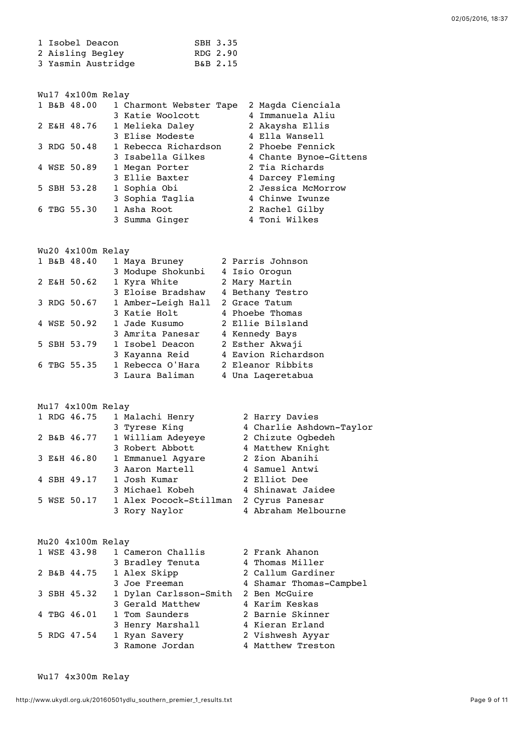| 1 Isobel Deacon    | SBH 3.35 |
|--------------------|----------|
| 2 Aisling Begley   | RDG 2.90 |
| 3 Yasmin Austridge | B&B 2.15 |

| Wul7 4x100m Relay |                         |                        |
|-------------------|-------------------------|------------------------|
| 1 B&B 48.00       | 1 Charmont Webster Tape | 2 Magda Cienciala      |
|                   | 3 Katie Woolcott        | 4 Immanuela Aliu       |
| 2 E&H 48.76       | 1 Melieka Daley         | 2 Akaysha Ellis        |
|                   | 3 Elise Modeste         | 4 Ella Wansell         |
| 3 RDG 50.48       | 1 Rebecca Richardson    | 2 Phoebe Fennick       |
|                   | 3 Isabella Gilkes       | 4 Chante Bynoe-Gittens |
| 4 WSE 50.89       | 1 Megan Porter          | 2 Tia Richards         |
|                   | 3 Ellie Baxter          | 4 Darcey Fleming       |
| 5 SBH 53.28       | 1 Sophia Obi            | 2 Jessica McMorrow     |
|                   | 3 Sophia Taglia         | 4 Chinwe Iwunze        |
| 6 TBG 55.30       | 1 Asha Root             | 2 Rachel Gilby         |
|                   | 3 Summa Ginger          | 4 Toni Wilkes          |

Wu20 4x100m Relay

| 1 B&B 48.40 | 1 Maya Bruney      | 2 Parris Johnson    |
|-------------|--------------------|---------------------|
|             | 3 Modupe Shokunbi  | 4 Isio Orogun       |
| 2 E&H 50.62 | 1 Kyra White       | 2 Mary Martin       |
|             | 3 Eloise Bradshaw  | 4 Bethany Testro    |
| 3 RDG 50.67 | 1 Amber-Leigh Hall | 2 Grace Tatum       |
|             | 3 Katie Holt       | 4 Phoebe Thomas     |
| 4 WSE 50.92 | 1 Jade Kusumo      | 2 Ellie Bilsland    |
|             | 3 Amrita Panesar   | 4 Kennedy Bays      |
| 5 SBH 53.79 | 1 Isobel Deacon    | 2 Esther Akwaji     |
|             | 3 Kayanna Reid     | 4 Eavion Richardson |
| 6 TBG 55.35 | 1 Rebecca O'Hara   | 2 Eleanor Ribbits   |
|             | 3 Laura Baliman    | 4 Una Lageretabua   |

Mu17 4x100m Relay

|  | 1 RDG 46.75 | 1 Malachi Henry        | 2 Harry Davies           |
|--|-------------|------------------------|--------------------------|
|  |             | 3 Tyrese King          | 4 Charlie Ashdown-Taylor |
|  | 2 B&B 46.77 | 1 William Adeyeye      | 2 Chizute Ogbedeh        |
|  |             | 3 Robert Abbott        | 4 Matthew Knight         |
|  | 3 E&H 46.80 | 1 Emmanuel Agyare      | 2 Zion Abanihi           |
|  |             | 3 Aaron Martell        | 4 Samuel Antwi           |
|  | 4 SBH 49.17 | 1 Josh Kumar           | 2 Elliot Dee             |
|  |             | 3 Michael Kobeh        | 4 Shinawat Jaidee        |
|  | 5 WSE 50.17 | 1 Alex Pocock-Stillman | 2 Cyrus Panesar          |
|  |             | 3 Rory Naylor          | 4 Abraham Melbourne      |
|  |             |                        |                          |

| Mu20 4x100m Relay |                        |                         |
|-------------------|------------------------|-------------------------|
| 1 WSE 43.98       | 1 Cameron Challis      | 2 Frank Ahanon          |
|                   | 3 Bradley Tenuta       | 4 Thomas Miller         |
| 2 B&B 44.75       | 1 Alex Skipp           | 2 Callum Gardiner       |
|                   | 3 Joe Freeman          | 4 Shamar Thomas-Campbel |
| 3 SBH 45.32       | 1 Dylan Carlsson-Smith | 2 Ben McGuire           |
|                   | 3 Gerald Matthew       | 4 Karim Keskas          |
| 4 TBG 46.01       | 1 Tom Saunders         | 2 Barnie Skinner        |
|                   | 3 Henry Marshall       | 4 Kieran Erland         |
| 5 RDG 47.54       | 1 Ryan Savery          | 2 Vishwesh Ayyar        |
|                   | 3 Ramone Jordan        | 4 Matthew Treston       |

Wu17 4x300m Relay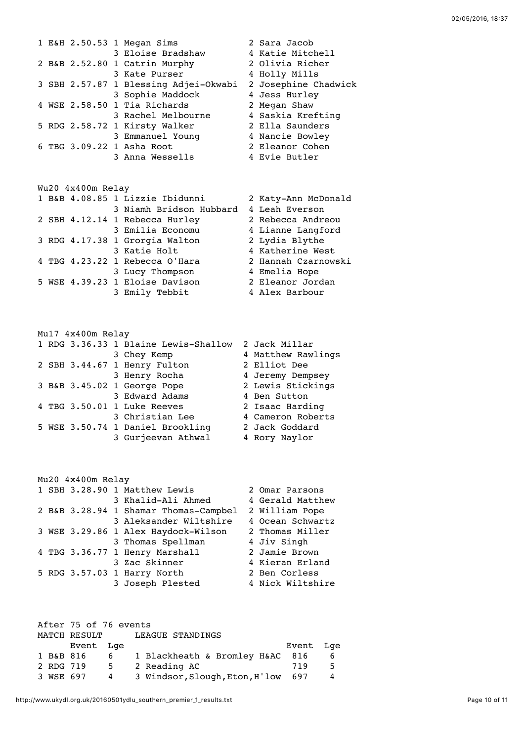|  |  | 1 E&H 2.50.53 1 Megan Sims            | 2 Sara Jacob         |
|--|--|---------------------------------------|----------------------|
|  |  | 3 Eloise Bradshaw                     | 4 Katie Mitchell     |
|  |  | 2 B&B 2.52.80 1 Catrin Murphy         | 2 Olivia Richer      |
|  |  | 3 Kate Purser                         | 4 Holly Mills        |
|  |  | 3 SBH 2.57.87 1 Blessing Adjei-Okwabi | 2 Josephine Chadwick |
|  |  | 3 Sophie Maddock                      | 4 Jess Hurley        |
|  |  | 4 WSE 2.58.50 1 Tia Richards          | 2 Megan Shaw         |
|  |  | 3 Rachel Melbourne                    | 4 Saskia Krefting    |
|  |  | 5 RDG 2.58.72 1 Kirsty Walker         | 2 Ella Saunders      |
|  |  | 3 Emmanuel Young                      | 4 Nancie Bowley      |
|  |  | 6 TBG 3.09.22 1 Asha Root             | 2 Eleanor Cohen      |
|  |  | 3 Anna Wessells                       | 4 Evie Butler        |
|  |  |                                       |                      |

## Wu20 4x400m Relay

|  |  | 1 B&B 4.08.85 1 Lizzie Ibidunni | 2 Katy-Ann McDonald |
|--|--|---------------------------------|---------------------|
|  |  | 3 Niamh Bridson Hubbard         | 4 Leah Everson      |
|  |  | 2 SBH 4.12.14 1 Rebecca Hurley  | 2 Rebecca Andreou   |
|  |  | 3 Emilia Economu                | 4 Lianne Langford   |
|  |  | 3 RDG 4.17.38 1 Grorgia Walton  | 2 Lydia Blythe      |
|  |  | 3 Katie Holt                    | 4 Katherine West    |
|  |  | 4 TBG 4.23.22 1 Rebecca O'Hara  | 2 Hannah Czarnowski |
|  |  | 3 Lucy Thompson                 | 4 Emelia Hope       |
|  |  | 5 WSE 4.39.23 1 Eloise Davison  | 2 Eleanor Jordan    |
|  |  | 3 Emily Tebbit                  | 4 Alex Barbour      |

## Mu17 4x400m Relay 1 RDG 3.36.33 1 Blaine Lewis-Shallow 2 Jack Millar

|  |  | I KNG 3.30.33 I DIGINE HEMIS-SHAIIOM | Z JACA MIIIIAI     |
|--|--|--------------------------------------|--------------------|
|  |  | 3 Chey Kemp                          | 4 Matthew Rawlings |
|  |  | 2 SBH 3.44.67 1 Henry Fulton         | 2 Elliot Dee       |
|  |  | 3 Henry Rocha                        | 4 Jeremy Dempsey   |
|  |  | 3 B&B 3.45.02 1 George Pope          | 2 Lewis Stickings  |
|  |  | 3 Edward Adams                       | 4 Ben Sutton       |
|  |  | 4 TBG 3.50.01 1 Luke Reeves          | 2 Isaac Harding    |
|  |  | 3 Christian Lee                      | 4 Cameron Roberts  |
|  |  | 5 WSE 3.50.74 1 Daniel Brookling     | 2 Jack Goddard     |
|  |  | 3 Gurjeevan Athwal                   | 4 Rory Naylor      |
|  |  |                                      |                    |

## Mu20 4x400m Relay 1 SBH 3.28.90 1 Matthew Lewis 2 Omar Parsons<br>3 Khalid-Ali Ahmed 4 Gerald Matthew 3 Khalid-Ali Ahmed 2 B&B 3.28.94 1 Shamar Thomas-Campbel 2 William Pope 3 Aleksander Wiltshire 4 Ocean Schwartz 3 WSE 3.29.86 1 Alex Haydock-Wilson 2 Thomas Miller 3 Thomas Spellman  $4$  Jiv Singh 4 TBG 3.36.77 1 Henry Marshall 2 Jamie Brown<br>3 Zac Skinner 1 4 Kieran Erlan 4 Kieran Erland<br>2 Ben Corless  $5$  RDG  $3.57.03$  1 Harry North 3 Joseph Plested 4 Nick Wiltshire

|           | After 75 of 76 events |   |                                    |           |   |
|-----------|-----------------------|---|------------------------------------|-----------|---|
|           | MATCH RESULT          |   | LEAGUE STANDINGS                   |           |   |
|           | Event Lge             |   |                                    | Event Lge |   |
| 1 B&B 816 |                       | 6 | 1 Blackheath & Bromley H&AC 816    |           | 6 |
| 2 RDG 719 |                       | 5 | 2 Reading AC                       | 719       | 5 |
| 3 WSE 697 |                       | 4 | 3 Windsor, Slough, Eton, H'low 697 |           |   |